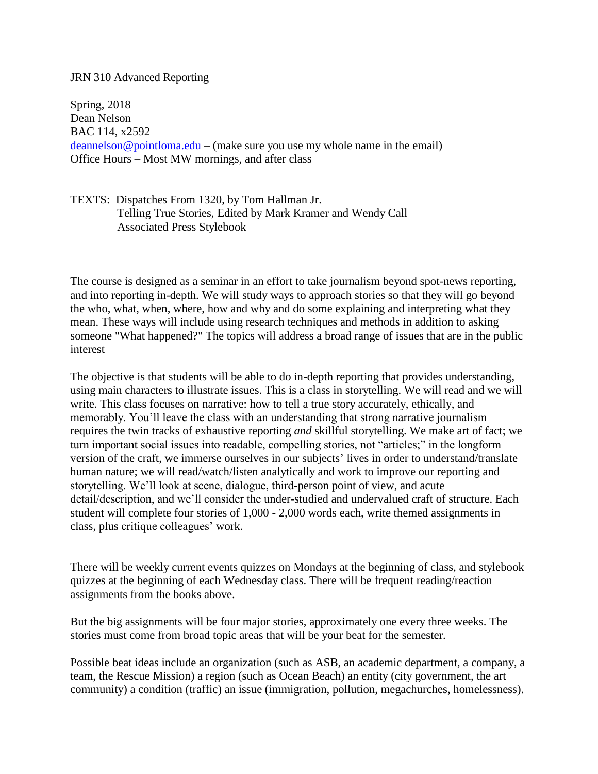## JRN 310 Advanced Reporting

Spring, 2018 Dean Nelson BAC 114, x2592  $deannels on @ pointloma.edu - (make sure you use my whole name in the email)$ Office Hours – Most MW mornings, and after class

TEXTS: Dispatches From 1320, by Tom Hallman Jr. Telling True Stories, Edited by Mark Kramer and Wendy Call Associated Press Stylebook

The course is designed as a seminar in an effort to take journalism beyond spot-news reporting, and into reporting in-depth. We will study ways to approach stories so that they will go beyond the who, what, when, where, how and why and do some explaining and interpreting what they mean. These ways will include using research techniques and methods in addition to asking someone "What happened?" The topics will address a broad range of issues that are in the public interest

The objective is that students will be able to do in-depth reporting that provides understanding, using main characters to illustrate issues. This is a class in storytelling. We will read and we will write. This class focuses on narrative: how to tell a true story accurately, ethically, and memorably. You'll leave the class with an understanding that strong narrative journalism requires the twin tracks of exhaustive reporting *and* skillful storytelling. We make art of fact; we turn important social issues into readable, compelling stories, not "articles;" in the longform version of the craft, we immerse ourselves in our subjects' lives in order to understand/translate human nature; we will read/watch/listen analytically and work to improve our reporting and storytelling. We'll look at scene, dialogue, third-person point of view, and acute detail/description, and we'll consider the under-studied and undervalued craft of structure. Each student will complete four stories of 1,000 - 2,000 words each, write themed assignments in class, plus critique colleagues' work.

There will be weekly current events quizzes on Mondays at the beginning of class, and stylebook quizzes at the beginning of each Wednesday class. There will be frequent reading/reaction assignments from the books above.

But the big assignments will be four major stories, approximately one every three weeks. The stories must come from broad topic areas that will be your beat for the semester.

Possible beat ideas include an organization (such as ASB, an academic department, a company, a team, the Rescue Mission) a region (such as Ocean Beach) an entity (city government, the art community) a condition (traffic) an issue (immigration, pollution, megachurches, homelessness).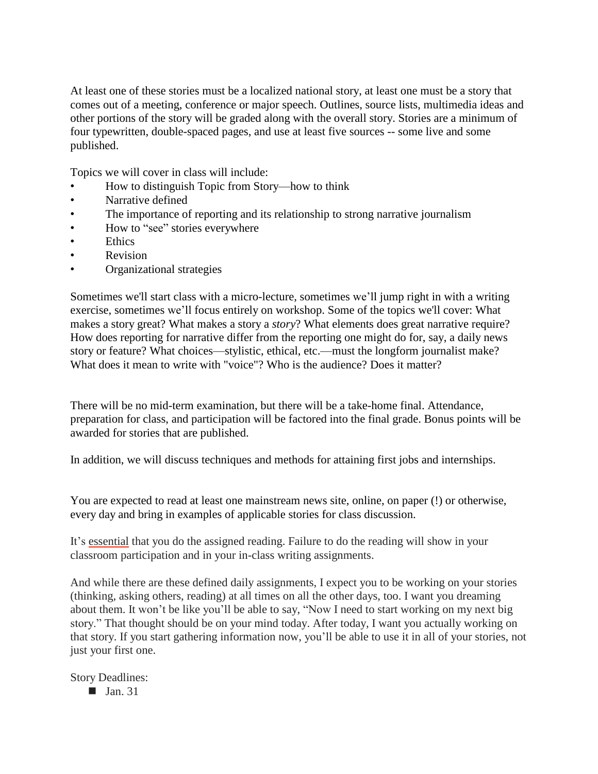At least one of these stories must be a localized national story, at least one must be a story that comes out of a meeting, conference or major speech. Outlines, source lists, multimedia ideas and other portions of the story will be graded along with the overall story. Stories are a minimum of four typewritten, double-spaced pages, and use at least five sources -- some live and some published.

Topics we will cover in class will include:

- How to distinguish Topic from Story—how to think
- Narrative defined
- The importance of reporting and its relationship to strong narrative journalism
- How to "see" stories everywhere
- Ethics
- Revision
- Organizational strategies

Sometimes we'll start class with a micro-lecture, sometimes we'll jump right in with a writing exercise, sometimes we'll focus entirely on workshop. Some of the topics we'll cover: What makes a story great? What makes a story a *story*? What elements does great narrative require? How does reporting for narrative differ from the reporting one might do for, say, a daily news story or feature? What choices—stylistic, ethical, etc.—must the longform journalist make? What does it mean to write with "voice"? Who is the audience? Does it matter?

There will be no mid-term examination, but there will be a take-home final. Attendance, preparation for class, and participation will be factored into the final grade. Bonus points will be awarded for stories that are published.

In addition, we will discuss techniques and methods for attaining first jobs and internships.

You are expected to read at least one mainstream news site, online, on paper (!) or otherwise, every day and bring in examples of applicable stories for class discussion.

It's essential that you do the assigned reading. Failure to do the reading will show in your classroom participation and in your in-class writing assignments.

And while there are these defined daily assignments, I expect you to be working on your stories (thinking, asking others, reading) at all times on all the other days, too. I want you dreaming about them. It won't be like you'll be able to say, "Now I need to start working on my next big story." That thought should be on your mind today. After today, I want you actually working on that story. If you start gathering information now, you'll be able to use it in all of your stories, not just your first one.

Story Deadlines:

 $\blacksquare$  Jan. 31